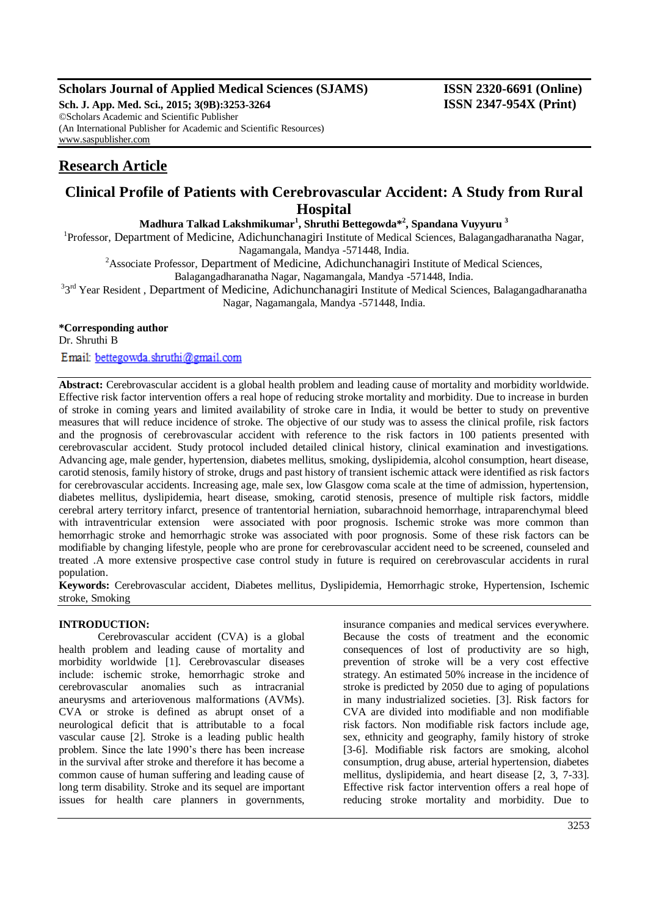## **Scholars Journal of Applied Medical Sciences (SJAMS) ISSN 2320-6691 (Online)**

**Sch. J. App. Med. Sci., 2015; 3(9B):3253-3264 ISSN 2347-954X (Print)** ©Scholars Academic and Scientific Publisher (An International Publisher for Academic and Scientific Resources) [www.saspublisher.com](http://www.saspublisher.com/)

# **Research Article**

# **Clinical Profile of Patients with Cerebrovascular Accident: A Study from Rural Hospital**

**Madhura Talkad Lakshmikumar<sup>1</sup> , Shruthi Bettegowda\*<sup>2</sup> , Spandana Vuyyuru <sup>3</sup>**

<sup>1</sup>Professor, Department of Medicine, Adichunchanagiri Institute of Medical Sciences, Balagangadharanatha Nagar, Nagamangala, Mandya -571448, India.

<sup>2</sup>Associate Professor, Department of Medicine, Adichunchanagiri Institute of Medical Sciences,

Balagangadharanatha Nagar, Nagamangala, Mandya -571448, India.

<sup>3</sup>3<sup>rd</sup> Year Resident, Department of Medicine, Adichunchanagiri Institute of Medical Sciences, Balagangadharanatha Nagar, Nagamangala, Mandya -571448, India.

## **\*Corresponding author**

Dr. Shruthi B

Email: bettegowda.shruthi@gmail.com

**Abstract:** Cerebrovascular accident is a global health problem and leading cause of mortality and morbidity worldwide. Effective risk factor intervention offers a real hope of reducing stroke mortality and morbidity. Due to increase in burden of stroke in coming years and limited availability of stroke care in India, it would be better to study on preventive measures that will reduce incidence of stroke. The objective of our study was to assess the clinical profile, risk factors and the prognosis of cerebrovascular accident with reference to the risk factors in 100 patients presented with cerebrovascular accident. Study protocol included detailed clinical history, clinical examination and investigations. Advancing age, male gender, hypertension, diabetes mellitus, smoking, dyslipidemia, alcohol consumption, heart disease, carotid stenosis, family history of stroke, drugs and past history of transient ischemic attack were identified as risk factors for cerebrovascular accidents. Increasing age, male sex, low Glasgow coma scale at the time of admission, hypertension, diabetes mellitus, dyslipidemia, heart disease, smoking, carotid stenosis, presence of multiple risk factors, middle cerebral artery territory infarct, presence of trantentorial herniation, subarachnoid hemorrhage, intraparenchymal bleed with intraventricular extension were associated with poor prognosis. Ischemic stroke was more common than hemorrhagic stroke and hemorrhagic stroke was associated with poor prognosis. Some of these risk factors can be modifiable by changing lifestyle, people who are prone for cerebrovascular accident need to be screened, counseled and treated .A more extensive prospective case control study in future is required on cerebrovascular accidents in rural population.

**Keywords:** Cerebrovascular accident, Diabetes mellitus, Dyslipidemia, Hemorrhagic stroke, Hypertension, Ischemic stroke, Smoking

## **INTRODUCTION:**

Cerebrovascular accident (CVA) is a global health problem and leading cause of mortality and morbidity worldwide [1]. Cerebrovascular diseases include: ischemic stroke, hemorrhagic stroke and cerebrovascular anomalies such as intracranial aneurysms and arteriovenous malformations (AVMs). CVA or stroke is defined as abrupt onset of a neurological deficit that is attributable to a focal vascular cause [2]. Stroke is a leading public health problem. Since the late 1990's there has been increase in the survival after stroke and therefore it has become a common cause of human suffering and leading cause of long term disability. Stroke and its sequel are important issues for health care planners in governments,

insurance companies and medical services everywhere. Because the costs of treatment and the economic consequences of lost of productivity are so high, prevention of stroke will be a very cost effective strategy. An estimated 50% increase in the incidence of stroke is predicted by 2050 due to aging of populations in many industrialized societies. [3]. Risk factors for CVA are divided into modifiable and non modifiable risk factors. Non modifiable risk factors include age, sex, ethnicity and geography, family history of stroke [3-6]. Modifiable risk factors are smoking, alcohol consumption, drug abuse, arterial hypertension, diabetes mellitus, dyslipidemia, and heart disease [2, 3, 7-33]. Effective risk factor intervention offers a real hope of reducing stroke mortality and morbidity. Due to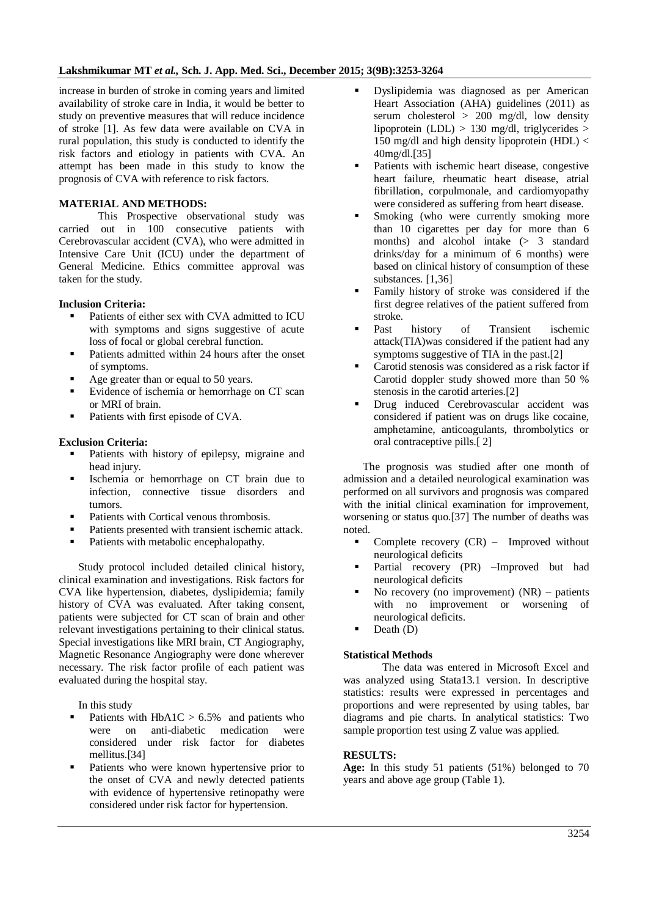increase in burden of stroke in coming years and limited availability of stroke care in India, it would be better to study on preventive measures that will reduce incidence of stroke [1]. As few data were available on CVA in rural population, this study is conducted to identify the risk factors and etiology in patients with CVA. An attempt has been made in this study to know the prognosis of CVA with reference to risk factors.

#### **MATERIAL AND METHODS:**

This Prospective observational study was carried out in 100 consecutive patients with Cerebrovascular accident (CVA), who were admitted in Intensive Care Unit (ICU) under the department of General Medicine. Ethics committee approval was taken for the study.

#### **Inclusion Criteria:**

- Patients of either sex with CVA admitted to ICU with symptoms and signs suggestive of acute loss of focal or global cerebral function.
- Patients admitted within 24 hours after the onset of symptoms.
- Age greater than or equal to 50 years.
- Evidence of ischemia or hemorrhage on CT scan or MRI of brain.
- Patients with first episode of CVA.

#### **Exclusion Criteria:**

- Patients with history of epilepsy, migraine and head injury.
- Ischemia or hemorrhage on CT brain due to infection, connective tissue disorders and tumors.
- Patients with Cortical venous thrombosis.
- Patients presented with transient ischemic attack.
- Patients with metabolic encephalopathy.

Study protocol included detailed clinical history, clinical examination and investigations. Risk factors for CVA like hypertension, diabetes, dyslipidemia; family history of CVA was evaluated. After taking consent, patients were subjected for CT scan of brain and other relevant investigations pertaining to their clinical status. Special investigations like MRI brain, CT Angiography, Magnetic Resonance Angiography were done wherever necessary. The risk factor profile of each patient was evaluated during the hospital stay.

In this study

- Patients with  $HbA1C > 6.5%$  and patients who were on anti-diabetic medication were considered under risk factor for diabetes mellitus.[34]
- Patients who were known hypertensive prior to the onset of CVA and newly detected patients with evidence of hypertensive retinopathy were considered under risk factor for hypertension.
- Dyslipidemia was diagnosed as per American Heart Association (AHA) guidelines (2011) as serum cholesterol > 200 mg/dl, low density lipoprotein (LDL)  $> 130$  mg/dl, triglycerides  $>$ 150 mg/dl and high density lipoprotein  $(HDL) <$ 40mg/dl.[35]
- Patients with ischemic heart disease, congestive heart failure, rheumatic heart disease, atrial fibrillation, corpulmonale, and cardiomyopathy were considered as suffering from heart disease.
- Smoking (who were currently smoking more than 10 cigarettes per day for more than 6 months) and alcohol intake (> 3 standard drinks/day for a minimum of 6 months) were based on clinical history of consumption of these substances. [1,36]
- Family history of stroke was considered if the first degree relatives of the patient suffered from stroke.
- Past history of Transient ischemic attack(TIA)was considered if the patient had any symptoms suggestive of TIA in the past.[2]
- Carotid stenosis was considered as a risk factor if Carotid doppler study showed more than 50 % stenosis in the carotid arteries.[2]
- Drug induced Cerebrovascular accident was considered if patient was on drugs like cocaine, amphetamine, anticoagulants, thrombolytics or oral contraceptive pills.[ 2]

The prognosis was studied after one month of admission and a detailed neurological examination was performed on all survivors and prognosis was compared with the initial clinical examination for improvement, worsening or status quo.[37] The number of deaths was noted.

- Complete recovery (CR) Improved without neurological deficits
- Partial recovery (PR) –Improved but had neurological deficits
- No recovery (no improvement) (NR) patients with no improvement or worsening of neurological deficits.
- Death (D)

#### **Statistical Methods**

The data was entered in Microsoft Excel and was analyzed using Stata13.1 version. In descriptive statistics: results were expressed in percentages and proportions and were represented by using tables, bar diagrams and pie charts. In analytical statistics: Two sample proportion test using Z value was applied.

#### **RESULTS:**

**Age:** In this study 51 patients (51%) belonged to 70 years and above age group (Table 1).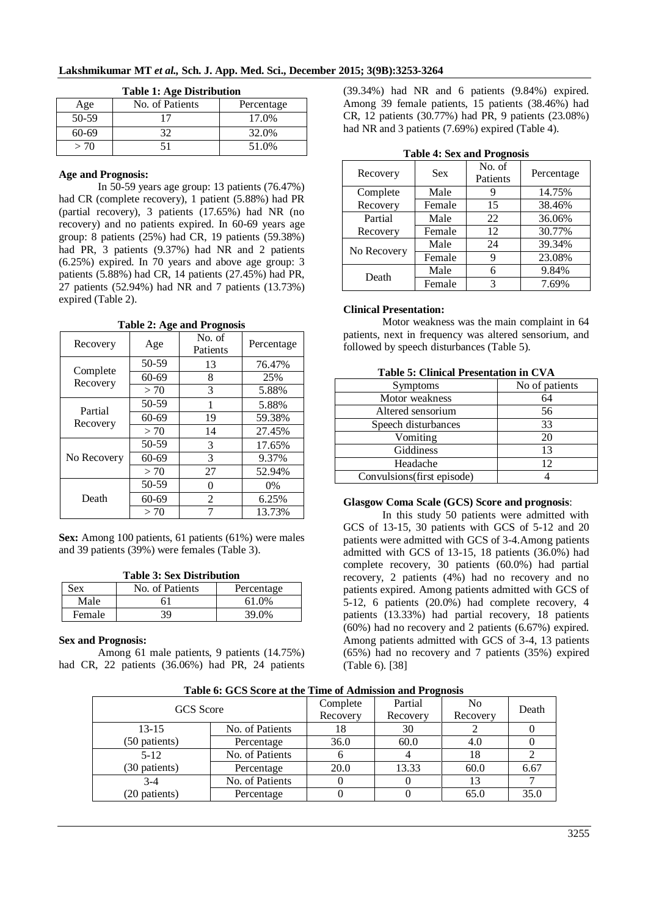| <b>Table 1: Age Distribution</b> |                 |            |  |  |
|----------------------------------|-----------------|------------|--|--|
| Age                              | No. of Patients | Percentage |  |  |
| 50-59                            | 17              | 17.0%      |  |  |
| 60-69                            | 32              | 32.0%      |  |  |
| > 70                             | 51              | 51.0%      |  |  |

## **Age and Prognosis:**

In 50-59 years age group: 13 patients (76.47%) had CR (complete recovery), 1 patient (5.88%) had PR (partial recovery), 3 patients (17.65%) had NR (no recovery) and no patients expired. In 60-69 years age group: 8 patients (25%) had CR, 19 patients (59.38%) had PR, 3 patients (9.37%) had NR and 2 patients (6.25%) expired. In 70 years and above age group: 3 patients (5.88%) had CR, 14 patients (27.45%) had PR, 27 patients (52.94%) had NR and 7 patients (13.73%) expired (Table 2).

**Table 2: Age and Prognosis**

|                     | o         | -                  |            |
|---------------------|-----------|--------------------|------------|
| Recovery            | Age       | No. of<br>Patients | Percentage |
| Complete            | 50-59     | 13                 | 76.47%     |
| Recovery            | $60 - 69$ | 8                  | 25%        |
|                     | > 70      | 3                  | 5.88%      |
| Partial<br>Recovery | 50-59     | 1                  | 5.88%      |
|                     | $60 - 69$ | 19                 | 59.38%     |
|                     | > 70      | 14                 | 27.45%     |
|                     | 50-59     | 3                  | 17.65%     |
| No Recovery         | 60-69     | 3                  | 9.37%      |
|                     | > 70      | 27                 | 52.94%     |
| Death               | 50-59     | 0                  | $0\%$      |
|                     | 60-69     | 2                  | 6.25%      |
|                     | > 70      | 7                  | 13.73%     |

**Sex:** Among 100 patients, 61 patients (61%) were males and 39 patients (39%) were females (Table 3).

|  |  |  |  | <b>Table 3: Sex Distribution</b> |
|--|--|--|--|----------------------------------|
|--|--|--|--|----------------------------------|

| Sex    | No. of Patients | Percentage |
|--------|-----------------|------------|
| Male   |                 | 61.0%      |
| Female |                 | 39.0%      |

## **Sex and Prognosis:**

Among 61 male patients, 9 patients (14.75%) had CR, 22 patients (36.06%) had PR, 24 patients (39.34%) had NR and 6 patients (9.84%) expired. Among 39 female patients, 15 patients (38.46%) had CR, 12 patients (30.77%) had PR, 9 patients (23.08%) had NR and 3 patients (7.69%) expired (Table 4).

| Table T. Bex and I regnosis |            |                    |            |  |  |
|-----------------------------|------------|--------------------|------------|--|--|
| Recovery                    | <b>Sex</b> | No. of<br>Patients | Percentage |  |  |
| Complete                    | Male       |                    | 14.75%     |  |  |
| Recovery                    | Female     | 15                 | 38.46%     |  |  |
| Partial                     | Male       | 22                 | 36.06%     |  |  |
| Recovery                    | Female     | 12                 | 30.77%     |  |  |
|                             | Male       | 24                 | 39.34%     |  |  |
| No Recovery                 | Female     |                    | 23.08%     |  |  |
| Death                       | Male       | 6                  | 9.84%      |  |  |
|                             | Female     | 3                  | 7.69%      |  |  |

|  | <b>Table 4: Sex and Prognosis</b> |
|--|-----------------------------------|
|  |                                   |

## **Clinical Presentation:**

Motor weakness was the main complaint in 64 patients, next in frequency was altered sensorium, and followed by speech disturbances (Table 5).

|  | <b>Table 5: Clinical Presentation in CVA</b> |  |
|--|----------------------------------------------|--|
|  |                                              |  |

| <b>Symptoms</b>            | No of patients |  |  |  |
|----------------------------|----------------|--|--|--|
| Motor weakness             | 64             |  |  |  |
| Altered sensorium          | 56             |  |  |  |
| Speech disturbances        | 33             |  |  |  |
| Vomiting                   | 20             |  |  |  |
| Giddiness                  | 13             |  |  |  |
| Headache                   | 12             |  |  |  |
| Convulsions(first episode) |                |  |  |  |

## **Glasgow Coma Scale (GCS) Score and prognosis**:

In this study 50 patients were admitted with GCS of 13-15, 30 patients with GCS of 5-12 and 20 patients were admitted with GCS of 3-4.Among patients admitted with GCS of 13-15, 18 patients (36.0%) had complete recovery, 30 patients (60.0%) had partial recovery, 2 patients (4%) had no recovery and no patients expired. Among patients admitted with GCS of 5-12, 6 patients (20.0%) had complete recovery, 4 patients (13.33%) had partial recovery, 18 patients (60%) had no recovery and 2 patients (6.67%) expired. Among patients admitted with GCS of 3-4, 13 patients (65%) had no recovery and 7 patients (35%) expired (Table 6). [38]

| THOIC OF O CO DUOLU HU VIIU THING OF FRUITING ON HIGH THUS INDIAN |                 |          |          |          |       |  |
|-------------------------------------------------------------------|-----------------|----------|----------|----------|-------|--|
| <b>GCS</b> Score                                                  |                 | Complete | Partial  | No       | Death |  |
|                                                                   |                 | Recovery | Recovery | Recovery |       |  |
| $13 - 15$                                                         | No. of Patients | 18       | 30       |          |       |  |
| (50 patients)                                                     | Percentage      | 36.0     | 60.0     | 4.0      |       |  |
| $5-12$                                                            | No. of Patients |          |          | 18       |       |  |
| (30 patients)                                                     | Percentage      | 20.0     | 13.33    | 60.0     | 6.67  |  |
| $3-4$                                                             | No. of Patients |          |          | 13       |       |  |
| (20 patients)                                                     | Percentage      |          |          | 65.0     | 35.0  |  |

**Table 6: GCS Score at the Time of Admission and Prognosis**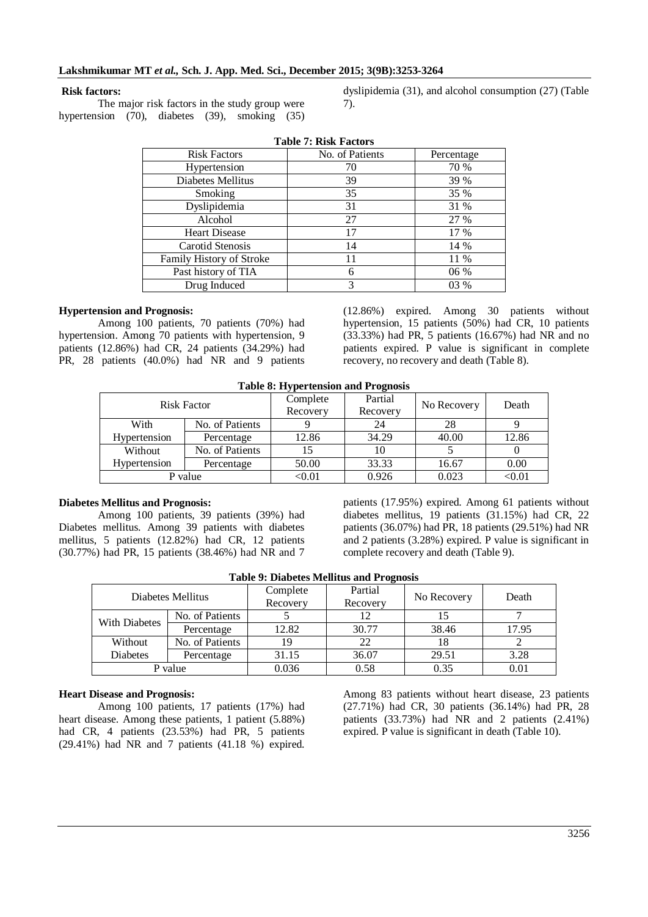#### **Risk factors:**

The major risk factors in the study group were hypertension (70), diabetes (39), smoking (35)

dyslipidemia (31), and alcohol consumption (27) (Table 7).

| <b>Table 7: Risk Factors</b> |                 |            |  |  |
|------------------------------|-----------------|------------|--|--|
| <b>Risk Factors</b>          | No. of Patients | Percentage |  |  |
| Hypertension                 | 70              | 70 %       |  |  |
| Diabetes Mellitus            | 39              | 39 %       |  |  |
| Smoking                      | 35              | 35 %       |  |  |
| Dyslipidemia                 | 31              | 31 %       |  |  |
| Alcohol                      | 27              | 27 %       |  |  |
| <b>Heart Disease</b>         | 17              | 17 %       |  |  |
| Carotid Stenosis             | 14              | 14 %       |  |  |
| Family History of Stroke     | 11              | 11 %       |  |  |
| Past history of TIA          | 6               | 06 %       |  |  |
| Drug Induced                 | 3               | 03 %       |  |  |

#### **Hypertension and Prognosis:**

Among 100 patients, 70 patients (70%) had hypertension. Among 70 patients with hypertension, 9 patients (12.86%) had CR, 24 patients (34.29%) had PR, 28 patients (40.0%) had NR and 9 patients

(12.86%) expired. Among 30 patients without hypertension, 15 patients (50%) had CR, 10 patients (33.33%) had PR, 5 patients (16.67%) had NR and no patients expired. P value is significant in complete recovery, no recovery and death (Table 8).

|  | <b>Table 8: Hypertension and Prognosis</b> |
|--|--------------------------------------------|
|  |                                            |

| <b>Risk Factor</b> |                 | Complete<br>Recovery | Partial<br>Recovery | No Recovery | Death         |
|--------------------|-----------------|----------------------|---------------------|-------------|---------------|
| With               | No. of Patients |                      | 24                  | 28          |               |
| Hypertension       | Percentage      | 12.86                | 34.29               | 40.00       | 12.86         |
| Without            | No. of Patients |                      | 10                  |             |               |
| Hypertension       | Percentage      | 50.00                | 33.33               | 16.67       | 0.00          |
| P value            |                 | $<$ 0.01             | 0.926               | 0.023       | $<$ 0.01 $\,$ |

#### **Diabetes Mellitus and Prognosis:**

Among 100 patients, 39 patients (39%) had Diabetes mellitus. Among 39 patients with diabetes mellitus, 5 patients (12.82%) had CR, 12 patients (30.77%) had PR, 15 patients (38.46%) had NR and 7

patients (17.95%) expired. Among 61 patients without diabetes mellitus, 19 patients (31.15%) had CR, 22 patients (36.07%) had PR, 18 patients (29.51%) had NR and 2 patients (3.28%) expired. P value is significant in complete recovery and death (Table 9).

| Table 2. Diabetes Memius and Trognosis |                 |                      |                     |             |       |  |  |  |  |
|----------------------------------------|-----------------|----------------------|---------------------|-------------|-------|--|--|--|--|
| Diabetes Mellitus                      |                 | Complete<br>Recovery | Partial<br>Recovery | No Recovery | Death |  |  |  |  |
| With Diabetes                          | No. of Patients |                      | 12                  |             |       |  |  |  |  |
|                                        | Percentage      | 12.82                | 30.77               | 38.46       | 17.95 |  |  |  |  |
| Without                                | No. of Patients | 19                   | 22                  | 18          |       |  |  |  |  |
| <b>Diabetes</b>                        | Percentage      | 31.15                | 36.07               | 29.51       | 3.28  |  |  |  |  |
| P value                                |                 | 0.036                | 0.58                | 0.35        | 0.01  |  |  |  |  |

#### **Table 9: Diabetes Mellitus and Prognosis**

#### **Heart Disease and Prognosis:**

Among 100 patients, 17 patients (17%) had heart disease. Among these patients, 1 patient (5.88%) had CR, 4 patients (23.53%) had PR, 5 patients (29.41%) had NR and 7 patients (41.18 %) expired.

Among 83 patients without heart disease, 23 patients (27.71%) had CR, 30 patients (36.14%) had PR, 28 patients (33.73%) had NR and 2 patients (2.41%) expired. P value is significant in death (Table 10).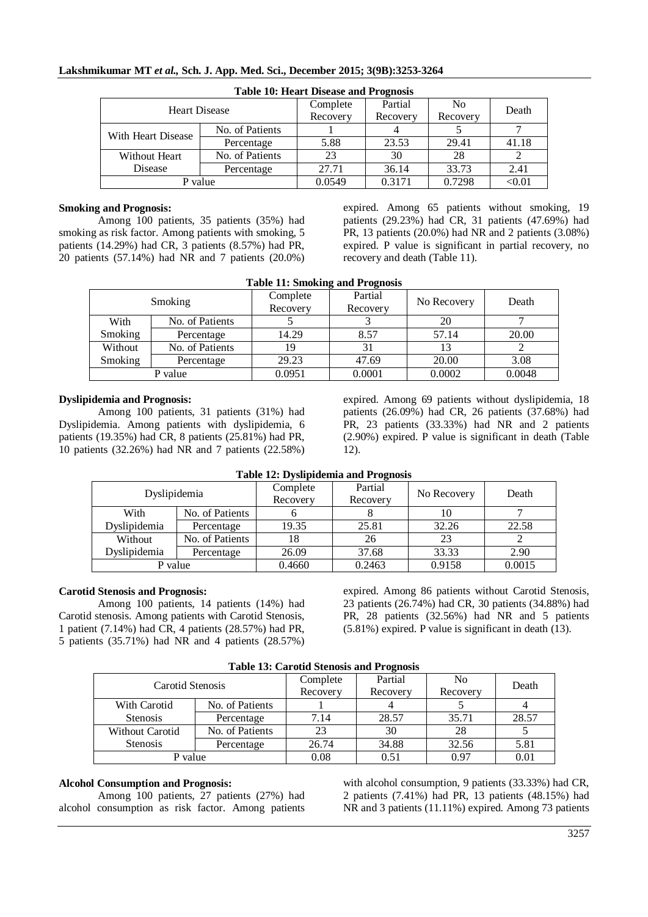| <b>Table 10: Heart Disease and Prognosis</b> |                 |          |          |                |               |  |  |  |  |  |  |
|----------------------------------------------|-----------------|----------|----------|----------------|---------------|--|--|--|--|--|--|
| <b>Heart Disease</b>                         |                 | Complete | Partial  | N <sub>0</sub> | Death         |  |  |  |  |  |  |
|                                              |                 | Recovery | Recovery | Recovery       |               |  |  |  |  |  |  |
|                                              | No. of Patients |          |          |                |               |  |  |  |  |  |  |
| With Heart Disease                           | Percentage      | 5.88     | 23.53    | 29.41          | 41.18         |  |  |  |  |  |  |
| No. of Patients<br>Without Heart             |                 | 23       | 30       | 28             |               |  |  |  |  |  |  |
| Disease                                      | Percentage      | 27.71    | 36.14    | 33.73          | 2.41          |  |  |  |  |  |  |
| P value                                      |                 | 0.0549   | 0.3171   | 0.7298         | $<$ 0.01 $\,$ |  |  |  |  |  |  |

#### **Smoking and Prognosis:**

Among 100 patients, 35 patients (35%) had smoking as risk factor. Among patients with smoking, 5 patients (14.29%) had CR, 3 patients (8.57%) had PR, 20 patients (57.14%) had NR and 7 patients (20.0%)

expired. Among 65 patients without smoking, 19 patients (29.23%) had CR, 31 patients (47.69%) had PR, 13 patients (20.0%) had NR and 2 patients (3.08%) expired. P value is significant in partial recovery, no recovery and death (Table 11).

|  |  |  |  | <b>Table 11: Smoking and Prognosis</b> |
|--|--|--|--|----------------------------------------|
|--|--|--|--|----------------------------------------|

| Smoking |                 | Complete<br>Recovery | Partial<br>Recovery | No Recovery | Death  |
|---------|-----------------|----------------------|---------------------|-------------|--------|
| With    | No. of Patients |                      |                     | 20          |        |
| Smoking | Percentage      | 14.29                | 8.57                | 57.14       | 20.00  |
| Without | No. of Patients | 19                   | 31                  |             |        |
| Smoking | Percentage      | 29.23                | 47.69               | 20.00       | 3.08   |
| P value |                 | 0.0951               | 0.0001              | 0.0002      | 0.0048 |

#### **Dyslipidemia and Prognosis:**

Among 100 patients, 31 patients (31%) had Dyslipidemia. Among patients with dyslipidemia, 6 patients (19.35%) had CR, 8 patients (25.81%) had PR, 10 patients (32.26%) had NR and 7 patients (22.58%) expired. Among 69 patients without dyslipidemia, 18 patients (26.09%) had CR, 26 patients (37.68%) had PR, 23 patients (33.33%) had NR and 2 patients (2.90%) expired. P value is significant in death (Table 12).

| Dyslipidemia |                 | Complete<br>Recovery | Partial<br>Recovery | No Recovery | Death  |
|--------------|-----------------|----------------------|---------------------|-------------|--------|
|              |                 |                      |                     |             |        |
| With         | No. of Patients |                      |                     |             |        |
| Dyslipidemia | Percentage      | 19.35                | 25.81               | 32.26       | 22.58  |
| Without      | No. of Patients | 18                   | 26                  | 23          |        |
| Dyslipidemia | Percentage      | 26.09                | 37.68               | 33.33       | 2.90   |
| P value      |                 | 0.4660               | 0.2463              | 0.9158      | 0.0015 |

**Table 12: Dyslipidemia and Prognosis**

#### **Carotid Stenosis and Prognosis:**

Among 100 patients, 14 patients (14%) had Carotid stenosis. Among patients with Carotid Stenosis, 1 patient (7.14%) had CR, 4 patients (28.57%) had PR, 5 patients (35.71%) had NR and 4 patients (28.57%)

expired. Among 86 patients without Carotid Stenosis, 23 patients (26.74%) had CR, 30 patients (34.88%) had PR, 28 patients (32.56%) had NR and 5 patients (5.81%) expired. P value is significant in death (13).

| Table 15. Carbitu Stellusis and Trughusis |                 |          |          |                |       |  |  |  |  |
|-------------------------------------------|-----------------|----------|----------|----------------|-------|--|--|--|--|
| Carotid Stenosis                          |                 | Complete | Partial  | N <sub>0</sub> | Death |  |  |  |  |
|                                           |                 | Recovery | Recovery | Recovery       |       |  |  |  |  |
| With Carotid                              | No. of Patients |          |          |                |       |  |  |  |  |
| <b>Stenosis</b>                           | Percentage      | 7.14     | 28.57    | 35.71          | 28.57 |  |  |  |  |
| Without Carotid                           | No. of Patients |          | 30       | 28             |       |  |  |  |  |
| <b>Stenosis</b>                           | Percentage      | 26.74    | 34.88    | 32.56          | 5.81  |  |  |  |  |
| P value                                   |                 | 0.08     | 0.51     | 0.97           | 0.01  |  |  |  |  |

#### **Table 13: Carotid Stenosis and Prognosis**

#### **Alcohol Consumption and Prognosis:**

Among 100 patients, 27 patients (27%) had alcohol consumption as risk factor. Among patients

with alcohol consumption, 9 patients (33.33%) had CR, 2 patients (7.41%) had PR, 13 patients (48.15%) had NR and 3 patients (11.11%) expired. Among 73 patients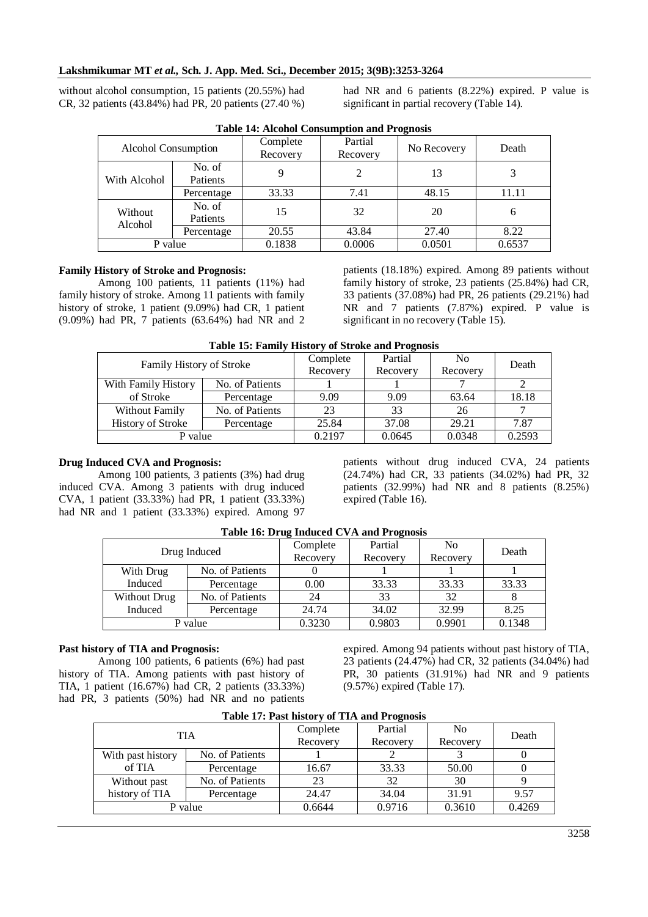without alcohol consumption, 15 patients (20.55%) had CR, 32 patients (43.84%) had PR, 20 patients (27.40 %) had NR and 6 patients (8.22%) expired. P value is significant in partial recovery (Table 14).

| <b>Alcohol Consumption</b> |                    | Complete<br>Recovery | Partial<br>Recovery | $\overline{\phantom{a}}$<br>No Recovery | Death  |
|----------------------------|--------------------|----------------------|---------------------|-----------------------------------------|--------|
| With Alcohol               | No. of<br>Patients |                      |                     | 13                                      |        |
|                            | Percentage         | 33.33                | 7.41                | 48.15                                   | 11.11  |
| Without<br>Alcohol         | No. of<br>Patients | 15                   | 32                  | 20                                      | 6      |
|                            | Percentage         | 20.55                | 43.84               | 27.40                                   | 8.22   |
| P value                    |                    | 0.1838               | 0.0006              | 0.0501                                  | 0.6537 |

**Table 14: Alcohol Consumption and Prognosis**

## **Family History of Stroke and Prognosis:**

Among 100 patients, 11 patients (11%) had family history of stroke. Among 11 patients with family history of stroke, 1 patient (9.09%) had CR, 1 patient (9.09%) had PR, 7 patients (63.64%) had NR and 2

patients (18.18%) expired. Among 89 patients without family history of stroke, 23 patients (25.84%) had CR, 33 patients (37.08%) had PR, 26 patients (29.21%) had NR and 7 patients (7.87%) expired. P value is significant in no recovery (Table 15).

| Table 19. Palling Thistory of Bu one and I regiosis |                 |          |                |        |       |  |  |  |  |
|-----------------------------------------------------|-----------------|----------|----------------|--------|-------|--|--|--|--|
| <b>Family History of Stroke</b>                     | Complete        | Partial  | N <sub>0</sub> | Death  |       |  |  |  |  |
|                                                     | Recovery        | Recovery | Recovery       |        |       |  |  |  |  |
| With Family History                                 | No. of Patients |          |                |        |       |  |  |  |  |
| of Stroke                                           | Percentage      | 9.09     | 9.09           | 63.64  | 18.18 |  |  |  |  |
| Without Family                                      | No. of Patients | 23       | 33             | 26     | ⇁     |  |  |  |  |
| <b>History of Stroke</b>                            | Percentage      | 25.84    | 37.08          | 29.21  | 7.87  |  |  |  |  |
| P value                                             | 0.2197          | 0.0645   | 0.0348         | 0.2593 |       |  |  |  |  |

## **Table 15: Family History of Stroke and Prognosis**

#### **Drug Induced CVA and Prognosis:**

Among 100 patients, 3 patients (3%) had drug induced CVA. Among 3 patients with drug induced CVA, 1 patient (33.33%) had PR, 1 patient (33.33%) had NR and 1 patient (33.33%) expired. Among 97 patients without drug induced CVA, 24 patients (24.74%) had CR, 33 patients (34.02%) had PR, 32 patients (32.99%) had NR and 8 patients (8.25%) expired (Table 16).

| Drug Induced |                 | $\bullet$<br>Complete | Partial  | N <sub>0</sub> |        |
|--------------|-----------------|-----------------------|----------|----------------|--------|
|              |                 | Recovery              | Recovery | Recovery       | Death  |
| With Drug    | No. of Patients |                       |          |                |        |
| Induced      | Percentage      | 0.00                  | 33.33    | 33.33          | 33.33  |
| Without Drug | No. of Patients | 24                    | 33       | 32             |        |
| Induced      | Percentage      | 24.74                 | 34.02    | 32.99          | 8.25   |
| P value      |                 | 0.3230                | 0.9803   | 0.9901         | 0.1348 |

#### **Table 16: Drug Induced CVA and Prognosis**

#### **Past history of TIA and Prognosis:**

Among 100 patients, 6 patients (6%) had past history of TIA. Among patients with past history of TIA, 1 patient (16.67%) had CR, 2 patients (33.33%) had PR, 3 patients (50%) had NR and no patients

expired. Among 94 patients without past history of TIA, 23 patients (24.47%) had CR, 32 patients (34.04%) had PR, 30 patients (31.91%) had NR and 9 patients (9.57%) expired (Table 17).

| Table 17. I ast movely of TIA and I regiosis |                 |          |          |          |        |  |  |  |  |
|----------------------------------------------|-----------------|----------|----------|----------|--------|--|--|--|--|
| TIA                                          |                 | Complete | Partial  | No       | Death  |  |  |  |  |
|                                              |                 | Recovery | Recovery | Recovery |        |  |  |  |  |
| With past history                            | No. of Patients |          |          |          |        |  |  |  |  |
| of TIA                                       | Percentage      | 16.67    | 33.33    | 50.00    |        |  |  |  |  |
| Without past                                 | No. of Patients |          | 32       | 30       |        |  |  |  |  |
| history of TIA                               | Percentage      | 24.47    | 34.04    | 31.91    | 9.57   |  |  |  |  |
| P value                                      |                 | 0.6644   | 0.9716   | 0.3610   | 0.4269 |  |  |  |  |

#### **Table 17: Past history of TIA and Prognosis**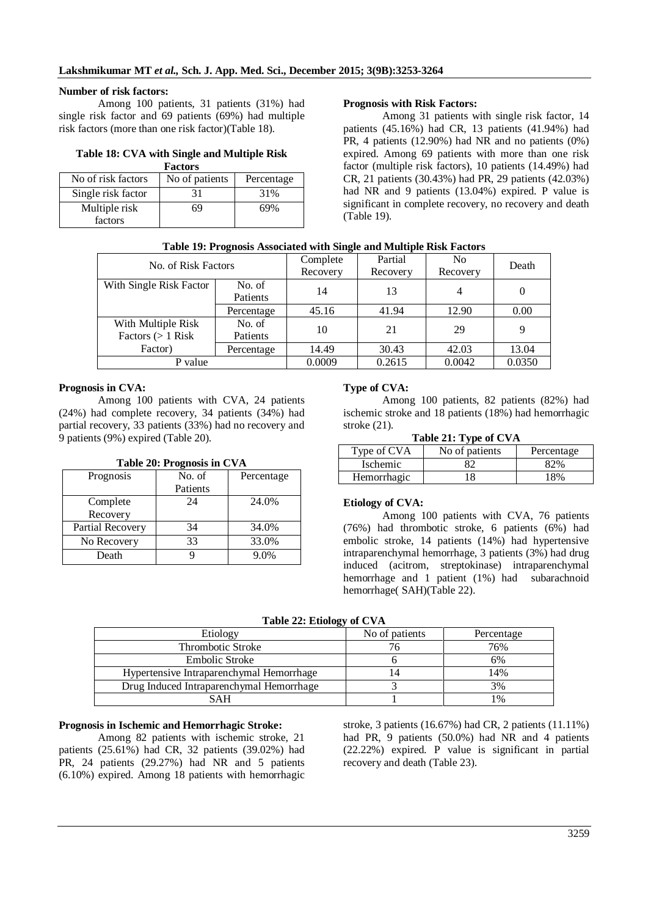## **Number of risk factors:**

Among 100 patients, 31 patients (31%) had single risk factor and 69 patients (69%) had multiple risk factors (more than one risk factor)(Table 18).

#### **Table 18: CVA with Single and Multiple Risk Factors**

| No of risk factors | No of patients | Percentage |  |  |  |  |  |
|--------------------|----------------|------------|--|--|--|--|--|
| Single risk factor | 31             | 31%        |  |  |  |  |  |
| Multiple risk      | 69             | 69%        |  |  |  |  |  |
| factors            |                |            |  |  |  |  |  |

## **Prognosis with Risk Factors:**

Among 31 patients with single risk factor, 14 patients (45.16%) had CR, 13 patients (41.94%) had PR, 4 patients  $(12.90\%)$  had NR and no patients  $(0\%)$ expired. Among 69 patients with more than one risk factor (multiple risk factors), 10 patients (14.49%) had CR, 21 patients (30.43%) had PR, 29 patients (42.03%) had NR and 9 patients (13.04%) expired. P value is significant in complete recovery, no recovery and death (Table 19).

|  |  |  |  | Table 19: Prognosis Associated with Single and Multiple Risk Factors |  |
|--|--|--|--|----------------------------------------------------------------------|--|
|  |  |  |  |                                                                      |  |

| No. of Risk Factors     |            | Complete | Partial  | N <sub>0</sub> | Death    |
|-------------------------|------------|----------|----------|----------------|----------|
|                         |            | Recovery | Recovery | Recovery       |          |
| With Single Risk Factor | No. of     | 14       | 13       | 4              | $\theta$ |
|                         | Patients   |          |          |                |          |
|                         | Percentage | 45.16    | 41.94    | 12.90          | 0.00     |
| With Multiple Risk      | No. of     | 10       | 21       | 29             | 9        |
| Factors $(> 1$ Risk     | Patients   |          |          |                |          |
| Factor)                 | Percentage | 14.49    | 30.43    | 42.03          | 13.04    |
| P value                 |            | 0.0009   | 0.2615   | 0.0042         | 0.0350   |

## **Prognosis in CVA:**

Among 100 patients with CVA, 24 patients (24%) had complete recovery, 34 patients (34%) had partial recovery, 33 patients (33%) had no recovery and 9 patients (9%) expired (Table 20).

| Table 20: Prognosis in CVA |          |            |  |  |  |
|----------------------------|----------|------------|--|--|--|
| Prognosis                  | No. of   | Percentage |  |  |  |
|                            | Patients |            |  |  |  |
| Complete                   | 24       | 24.0%      |  |  |  |
| Recovery                   |          |            |  |  |  |
| Partial Recovery           | 34       | 34.0%      |  |  |  |
| No Recovery                | 33       | 33.0%      |  |  |  |
| Death                      |          | 9.0%       |  |  |  |

## **Type of CVA:**

Among 100 patients, 82 patients (82%) had ischemic stroke and 18 patients (18%) had hemorrhagic stroke (21).

| Type of CVA                   | No of patients | Percentage |
|-------------------------------|----------------|------------|
| <i><u><b>Ischemic</b></u></i> |                | 32%        |
| Hemorrhagic                   |                | 18%        |

#### **Etiology of CVA:**

Among 100 patients with CVA, 76 patients (76%) had thrombotic stroke, 6 patients (6%) had embolic stroke, 14 patients (14%) had hypertensive intraparenchymal hemorrhage, 3 patients (3%) had drug induced (acitrom, streptokinase) intraparenchymal hemorrhage and 1 patient (1%) had subarachnoid hemorrhage( SAH)(Table 22).

**Table 22: Etiology of CVA**

| ືອປ<br>Etiology                          | No of patients | Percentage    |
|------------------------------------------|----------------|---------------|
| <b>Thrombotic Stroke</b>                 |                | 76%           |
| Embolic Stroke                           |                | 6%            |
| Hypertensive Intraparenchymal Hemorrhage |                | 14%           |
| Drug Induced Intraparenchymal Hemorrhage |                | 3%            |
| SAH                                      |                | $\frac{0}{6}$ |

## **Prognosis in Ischemic and Hemorrhagic Stroke:**

Among 82 patients with ischemic stroke, 21 patients (25.61%) had CR, 32 patients (39.02%) had PR, 24 patients (29.27%) had NR and 5 patients (6.10%) expired. Among 18 patients with hemorrhagic

stroke, 3 patients (16.67%) had CR, 2 patients (11.11%) had PR, 9 patients (50.0%) had NR and 4 patients (22.22%) expired. P value is significant in partial recovery and death (Table 23).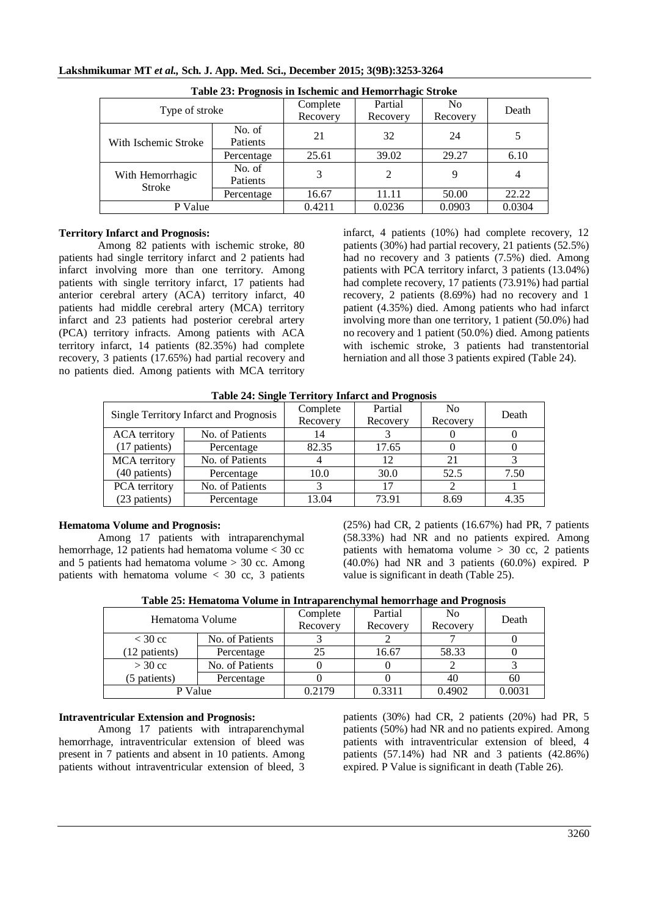| Table 23: Prognosis in Ischemic and Hemorrhagic Stroke |            |          |          |          |        |  |  |
|--------------------------------------------------------|------------|----------|----------|----------|--------|--|--|
| Type of stroke                                         |            | Complete | Partial  | No       | Death  |  |  |
|                                                        |            | Recovery | Recovery | Recovery |        |  |  |
| With Ischemic Stroke                                   | No. of     | 21       | 32       | 24       |        |  |  |
|                                                        | Patients   |          |          |          |        |  |  |
|                                                        | Percentage | 25.61    | 39.02    | 29.27    | 6.10   |  |  |
| With Hemorrhagic<br><b>Stroke</b>                      | No. of     | 3        | 2        | 9        | 4      |  |  |
|                                                        | Patients   |          |          |          |        |  |  |
|                                                        | Percentage | 16.67    | 11.11    | 50.00    | 22.22  |  |  |
| P Value                                                |            | 0.4211   | 0.0236   | 0.0903   | 0.0304 |  |  |

## **Territory Infarct and Prognosis:**

Among 82 patients with ischemic stroke, 80 patients had single territory infarct and 2 patients had infarct involving more than one territory. Among patients with single territory infarct, 17 patients had anterior cerebral artery (ACA) territory infarct, 40 patients had middle cerebral artery (MCA) territory infarct and 23 patients had posterior cerebral artery (PCA) territory infracts. Among patients with ACA territory infarct, 14 patients (82.35%) had complete recovery, 3 patients (17.65%) had partial recovery and no patients died. Among patients with MCA territory

infarct, 4 patients (10%) had complete recovery, 12 patients (30%) had partial recovery, 21 patients (52.5%) had no recovery and 3 patients (7.5%) died. Among patients with PCA territory infarct, 3 patients (13.04%) had complete recovery, 17 patients (73.91%) had partial recovery, 2 patients (8.69%) had no recovery and 1 patient (4.35%) died. Among patients who had infarct involving more than one territory, 1 patient (50.0%) had no recovery and 1 patient (50.0%) died. Among patients with ischemic stroke, 3 patients had transtentorial herniation and all those 3 patients expired (Table 24).

| Single Territory Infarct and Prognosis  |                 | Complete | Partial  | N <sub>0</sub> | Death |
|-----------------------------------------|-----------------|----------|----------|----------------|-------|
|                                         |                 | Recovery | Recovery | Recovery       |       |
| <b>ACA</b> territory                    | No. of Patients | 14       |          |                |       |
| (17 patients)                           | Percentage      | 82.35    | 17.65    |                |       |
| No. of Patients<br><b>MCA</b> territory |                 |          | 12       | 21             |       |
| (40 patients)                           | Percentage      | 10.0     | 30.0     | 52.5           | 7.50  |
| PCA territory                           | No. of Patients |          | 17       |                |       |
| (23 patients)                           | Percentage      | 13.04    | 73.91    | 8.69           | 4.35  |

**Table 24: Single Territory Infarct and Prognosis**

#### **Hematoma Volume and Prognosis:**

Among 17 patients with intraparenchymal hemorrhage, 12 patients had hematoma volume < 30 cc and 5 patients had hematoma volume  $> 30$  cc. Among patients with hematoma volume  $<$  30 cc, 3 patients

(25%) had CR, 2 patients (16.67%) had PR, 7 patients (58.33%) had NR and no patients expired. Among patients with hematoma volume  $> 30$  cc, 2 patients (40.0%) had NR and 3 patients (60.0%) expired. P value is significant in death (Table 25).

| Hematoma Volume |                 | Complete | Partial  | N <sub>0</sub> | Death  |
|-----------------|-----------------|----------|----------|----------------|--------|
|                 |                 | Recovery | Recovery | Recovery       |        |
| $<$ 30 cc       | No. of Patients |          |          |                |        |
| (12 patients)   | Percentage      | 25       | 16.67    | 58.33          |        |
| $>$ 30 cc       | No. of Patients |          |          |                |        |
| (5 patients)    | Percentage      |          |          | 40             | 60     |
| P Value         |                 | 0.2179   | 0.3311   | 0.4902         | 0.0031 |

#### **Intraventricular Extension and Prognosis:**

Among 17 patients with intraparenchymal hemorrhage, intraventricular extension of bleed was present in 7 patients and absent in 10 patients. Among patients without intraventricular extension of bleed, 3

patients (30%) had CR, 2 patients (20%) had PR, 5 patients (50%) had NR and no patients expired. Among patients with intraventricular extension of bleed, 4 patients (57.14%) had NR and 3 patients (42.86%) expired. P Value is significant in death (Table 26).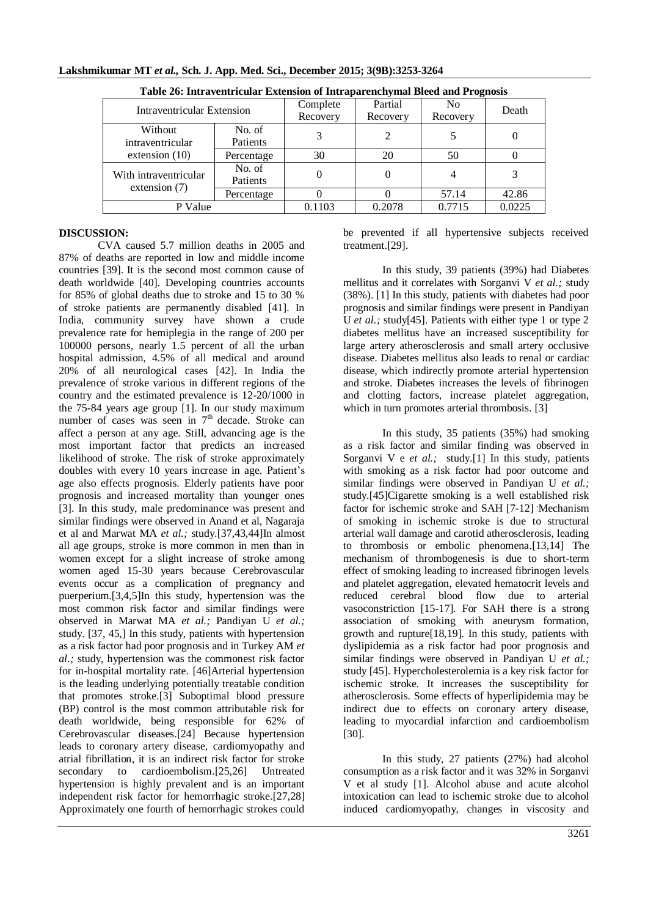| Table 26: Intraventricular Extension of Intraparenchymal Bleed and Prognosis |            |          |          |          |        |  |
|------------------------------------------------------------------------------|------------|----------|----------|----------|--------|--|
| Intraventricular Extension                                                   |            | Complete | Partial  | No       | Death  |  |
|                                                                              |            | Recovery | Recovery | Recovery |        |  |
| Without                                                                      | No. of     |          | 2        |          |        |  |
| intraventricular<br>extension $(10)$                                         | Patients   |          |          |          |        |  |
|                                                                              | Percentage | 30       | 20       | 50       |        |  |
| With intraventricular<br>extension $(7)$                                     | No. of     |          |          |          | 3      |  |
|                                                                              | Patients   |          |          |          |        |  |
|                                                                              | Percentage |          |          | 57.14    | 42.86  |  |
| P Value                                                                      |            | 0.1103   | 0.2078   | 0.7715   | 0.0225 |  |

**Lakshmikumar MT** *et al.,* **Sch. J. App. Med. Sci., December 2015; 3(9B):3253-3264**

#### **DISCUSSION:**

CVA caused 5.7 million deaths in 2005 and 87% of deaths are reported in low and middle income countries [39]. It is the second most common cause of death worldwide [40]. Developing countries accounts for 85% of global deaths due to stroke and 15 to 30 % of stroke patients are permanently disabled [41]. In India, community survey have shown a crude prevalence rate for hemiplegia in the range of 200 per 100000 persons, nearly 1.5 percent of all the urban hospital admission, 4.5% of all medical and around 20% of all neurological cases [42]. In India the prevalence of stroke various in different regions of the country and the estimated prevalence is 12-20/1000 in the 75-84 years age group [1]. In our study maximum number of cases was seen in  $7<sup>th</sup>$  decade. Stroke can affect a person at any age. Still, advancing age is the most important factor that predicts an increased likelihood of stroke. The risk of stroke approximately doubles with every 10 years increase in age. Patient's age also effects prognosis. Elderly patients have poor prognosis and increased mortality than younger ones [3]. In this study, male predominance was present and similar findings were observed in Anand et al, Nagaraja et al and Marwat MA *et al.;* study.[37,43,44]In almost all age groups, stroke is more common in men than in women except for a slight increase of stroke among women aged 15-30 years because Cerebrovascular events occur as a complication of pregnancy and puerperium.[3,4,5]In this study, hypertension was the most common risk factor and similar findings were observed in Marwat MA *et al.;* Pandiyan U *et al.;* study. [37, 45,] In this study, patients with hypertension as a risk factor had poor prognosis and in Turkey AM *et al.;* study, hypertension was the commonest risk factor for in-hospital mortality rate. [46]Arterial hypertension is the leading underlying potentially treatable condition that promotes stroke.[3] Suboptimal blood pressure (BP) control is the most common attributable risk for death worldwide, being responsible for 62% of Cerebrovascular diseases.[24] Because hypertension leads to coronary artery disease, cardiomyopathy and atrial fibrillation, it is an indirect risk factor for stroke secondary to cardioembolism.[25,26] Untreated hypertension is highly prevalent and is an important independent risk factor for hemorrhagic stroke.[27,28] Approximately one fourth of hemorrhagic strokes could

be prevented if all hypertensive subjects received treatment.[29].

In this study, 39 patients (39%) had Diabetes mellitus and it correlates with Sorganvi V *et al.;* study (38%). [1] In this study, patients with diabetes had poor prognosis and similar findings were present in Pandiyan U *et al.*; study[45]. Patients with either type 1 or type 2 diabetes mellitus have an increased susceptibility for large artery atherosclerosis and small artery occlusive disease. Diabetes mellitus also leads to renal or cardiac disease, which indirectly promote arterial hypertension and stroke. Diabetes increases the levels of fibrinogen and clotting factors, increase platelet aggregation, which in turn promotes arterial thrombosis. [3]

In this study, 35 patients (35%) had smoking as a risk factor and similar finding was observed in Sorganvi V e et al.; study.<sup>[1]</sup> In this study, patients with smoking as a risk factor had poor outcome and similar findings were observed in Pandiyan U *et al.;* study.[45]Cigarette smoking is a well established risk factor for ischemic stroke and SAH [7-12] Mechanism of smoking in ischemic stroke is due to structural arterial wall damage and carotid atherosclerosis, leading to thrombosis or embolic phenomena.[13,14] The mechanism of thrombogenesis is due to short-term effect of smoking leading to increased fibrinogen levels and platelet aggregation, elevated hematocrit levels and reduced cerebral blood flow due to arterial vasoconstriction [15-17]. For SAH there is a strong association of smoking with aneurysm formation, growth and rupture[18,19]. In this study, patients with dyslipidemia as a risk factor had poor prognosis and similar findings were observed in Pandiyan U *et al.;* study [45]. Hypercholesterolemia is a key risk factor for ischemic stroke. It increases the susceptibility for atherosclerosis. Some effects of hyperlipidemia may be indirect due to effects on coronary artery disease, leading to myocardial infarction and cardioembolism [30].

In this study, 27 patients (27%) had alcohol consumption as a risk factor and it was 32% in Sorganvi V et al study [1]. Alcohol abuse and acute alcohol intoxication can lead to ischemic stroke due to alcohol induced cardiomyopathy, changes in viscosity and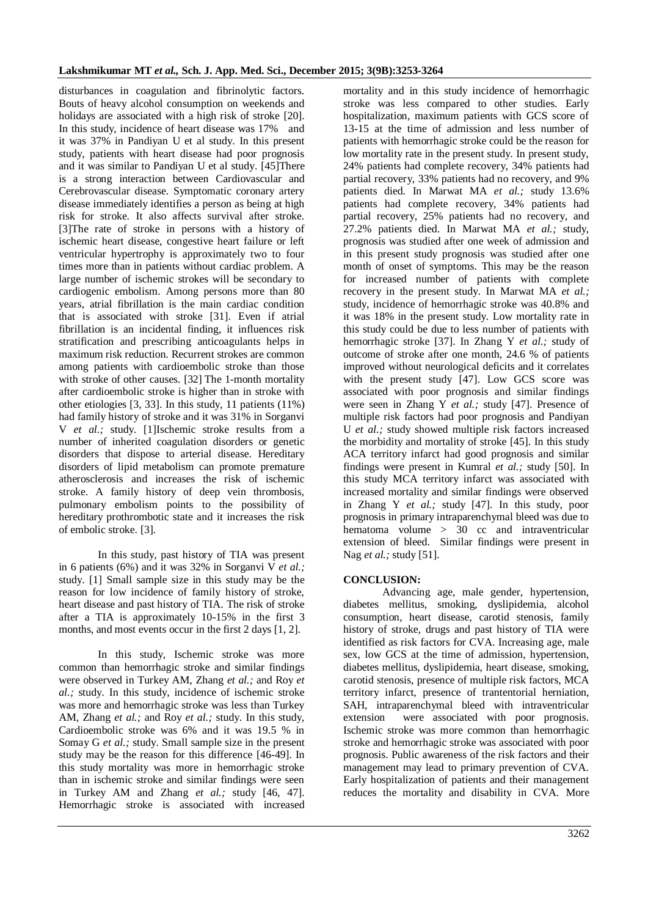disturbances in coagulation and fibrinolytic factors. Bouts of heavy alcohol consumption on weekends and holidays are associated with a high risk of stroke [20]. In this study, incidence of heart disease was 17% and it was 37% in Pandiyan U et al study. In this present study, patients with heart disease had poor prognosis and it was similar to Pandiyan U et al study. [45]There is a strong interaction between Cardiovascular and Cerebrovascular disease. Symptomatic coronary artery disease immediately identifies a person as being at high risk for stroke. It also affects survival after stroke. [3]The rate of stroke in persons with a history of ischemic heart disease, congestive heart failure or left ventricular hypertrophy is approximately two to four times more than in patients without cardiac problem. A large number of ischemic strokes will be secondary to cardiogenic embolism. Among persons more than 80 years, atrial fibrillation is the main cardiac condition that is associated with stroke [31]. Even if atrial fibrillation is an incidental finding, it influences risk stratification and prescribing anticoagulants helps in maximum risk reduction. Recurrent strokes are common among patients with cardioembolic stroke than those with stroke of other causes. [32] The 1-month mortality after cardioembolic stroke is higher than in stroke with other etiologies [3, 33]. In this study, 11 patients (11%) had family history of stroke and it was 31% in Sorganvi V *et al.;* study. [1]Ischemic stroke results from a number of inherited coagulation disorders or genetic disorders that dispose to arterial disease. Hereditary disorders of lipid metabolism can promote premature atherosclerosis and increases the risk of ischemic stroke. A family history of deep vein thrombosis, pulmonary embolism points to the possibility of hereditary prothrombotic state and it increases the risk of embolic stroke. [3].

In this study, past history of TIA was present in 6 patients (6%) and it was 32% in Sorganvi V *et al.;* study. [1] Small sample size in this study may be the reason for low incidence of family history of stroke, heart disease and past history of TIA. The risk of stroke after a TIA is approximately 10-15% in the first 3 months, and most events occur in the first 2 days [1, 2].

In this study, Ischemic stroke was more common than hemorrhagic stroke and similar findings were observed in Turkey AM, Zhang *et al.;* and Roy *et al.;* study. In this study, incidence of ischemic stroke was more and hemorrhagic stroke was less than Turkey AM, Zhang *et al.;* and Roy *et al.;* study. In this study, Cardioembolic stroke was 6% and it was 19.5 % in Somay G *et al.;* study. Small sample size in the present study may be the reason for this difference [46-49]. In this study mortality was more in hemorrhagic stroke than in ischemic stroke and similar findings were seen in Turkey AM and Zhang *et al.;* study [46, 47]. Hemorrhagic stroke is associated with increased

mortality and in this study incidence of hemorrhagic stroke was less compared to other studies. Early hospitalization, maximum patients with GCS score of 13-15 at the time of admission and less number of patients with hemorrhagic stroke could be the reason for low mortality rate in the present study. In present study, 24% patients had complete recovery, 34% patients had partial recovery, 33% patients had no recovery, and 9% patients died. In Marwat MA *et al.;* study 13.6% patients had complete recovery, 34% patients had partial recovery, 25% patients had no recovery, and 27.2% patients died. In Marwat MA *et al.;* study, prognosis was studied after one week of admission and in this present study prognosis was studied after one month of onset of symptoms. This may be the reason for increased number of patients with complete recovery in the present study. In Marwat MA *et al.;* study, incidence of hemorrhagic stroke was 40.8% and it was 18% in the present study. Low mortality rate in this study could be due to less number of patients with hemorrhagic stroke [37]. In Zhang Y *et al.;* study of outcome of stroke after one month, 24.6 % of patients improved without neurological deficits and it correlates with the present study [47]. Low GCS score was associated with poor prognosis and similar findings were seen in Zhang Y *et al.;* study [47]. Presence of multiple risk factors had poor prognosis and Pandiyan U *et al.;* study showed multiple risk factors increased the morbidity and mortality of stroke [45]. In this study ACA territory infarct had good prognosis and similar findings were present in Kumral *et al.;* study [50]. In this study MCA territory infarct was associated with increased mortality and similar findings were observed in Zhang Y *et al.;* study [47]. In this study, poor prognosis in primary intraparenchymal bleed was due to hematoma volume > 30 cc and intraventricular extension of bleed. Similar findings were present in Nag *et al.;* study [51].

#### **CONCLUSION:**

Advancing age, male gender, hypertension, diabetes mellitus, smoking, dyslipidemia, alcohol consumption, heart disease, carotid stenosis, family history of stroke, drugs and past history of TIA were identified as risk factors for CVA. Increasing age, male sex, low GCS at the time of admission, hypertension, diabetes mellitus, dyslipidemia, heart disease, smoking, carotid stenosis, presence of multiple risk factors, MCA territory infarct, presence of trantentorial herniation, SAH, intraparenchymal bleed with intraventricular extension were associated with poor prognosis. Ischemic stroke was more common than hemorrhagic stroke and hemorrhagic stroke was associated with poor prognosis. Public awareness of the risk factors and their management may lead to primary prevention of CVA. Early hospitalization of patients and their management reduces the mortality and disability in CVA. More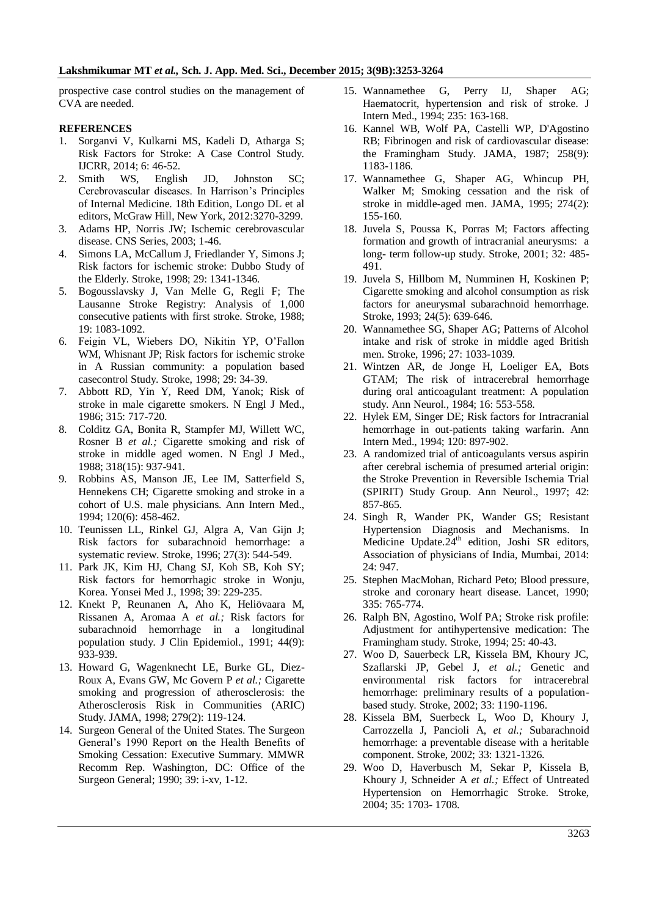prospective case control studies on the management of CVA are needed.

#### **REFERENCES**

- 1. Sorganvi V, Kulkarni MS, Kadeli D, Atharga S; Risk Factors for Stroke: A Case Control Study. IJCRR, 2014; 6: 46-52.
- 2. Smith WS, English JD, Johnston SC; Cerebrovascular diseases. In Harrison's Principles of Internal Medicine. 18th Edition, Longo DL et al editors, McGraw Hill, New York, 2012:3270-3299.
- 3. Adams HP, Norris JW; Ischemic cerebrovascular disease. CNS Series, 2003; 1-46.
- 4. Simons LA, McCallum J, Friedlander Y, Simons J; Risk factors for ischemic stroke: Dubbo Study of the Elderly. Stroke, 1998; 29: 1341-1346.
- 5. Bogousslavsky J, Van Melle G, Regli F; The Lausanne Stroke Registry: Analysis of 1,000 consecutive patients with first stroke. Stroke, 1988; 19: 1083-1092.
- 6. Feigin VL, Wiebers DO, Nikitin YP, O'Fallon WM, Whisnant JP; Risk factors for ischemic stroke in A Russian community: a population based casecontrol Study. Stroke, 1998; 29: 34-39.
- 7. Abbott RD, Yin Y, Reed DM, Yanok; Risk of stroke in male cigarette smokers. N Engl J Med., 1986; 315: 717-720.
- 8. Colditz GA, Bonita R, Stampfer MJ, Willett WC, Rosner B *et al.;* Cigarette smoking and risk of stroke in middle aged women. N Engl J Med., 1988; 318(15): 937-941.
- 9. Robbins AS, Manson JE, Lee IM, Satterfield S, Hennekens CH; Cigarette smoking and stroke in a cohort of U.S. male physicians. Ann Intern Med., 1994; 120(6): 458-462.
- 10. Teunissen LL, Rinkel GJ, Algra A, Van Gijn J; Risk factors for subarachnoid hemorrhage: a systematic review. Stroke, 1996; 27(3): 544-549.
- 11. Park JK, Kim HJ, Chang SJ, Koh SB, Koh SY; Risk factors for hemorrhagic stroke in Wonju, Korea. Yonsei Med J., 1998; 39: 229-235.
- 12. Knekt P, Reunanen A, Aho K, Heliövaara M, Rissanen A, Aromaa A *et al.;* Risk factors for subarachnoid hemorrhage in a longitudinal population study. J Clin Epidemiol., 1991; 44(9): 933-939.
- 13. Howard G, Wagenknecht LE, Burke GL, Diez-Roux A, Evans GW, Mc Govern P *et al.;* Cigarette smoking and progression of atherosclerosis: the Atherosclerosis Risk in Communities (ARIC) Study. JAMA, 1998; 279(2): 119-124.
- 14. Surgeon General of the United States. The Surgeon General's 1990 Report on the Health Benefits of Smoking Cessation: Executive Summary. MMWR Recomm Rep. Washington, DC: Office of the Surgeon General; 1990; 39: i-xv, 1-12.
- 15. Wannamethee G, Perry IJ, Shaper AG; Haematocrit, hypertension and risk of stroke. J Intern Med., 1994; 235: 163-168.
- 16. Kannel WB, Wolf PA, Castelli WP, D'Agostino RB; Fibrinogen and risk of cardiovascular disease: the Framingham Study. JAMA, 1987; 258(9): 1183-1186.
- 17. Wannamethee G, Shaper AG, Whincup PH, Walker M; Smoking cessation and the risk of stroke in middle-aged men. JAMA, 1995; 274(2): 155-160.
- 18. Juvela S, Poussa K, Porras M; Factors affecting formation and growth of intracranial aneurysms: a long- term follow-up study. Stroke, 2001; 32: 485- 491.
- 19. Juvela S, Hillbom M, Numminen H, Koskinen P; Cigarette smoking and alcohol consumption as risk factors for aneurysmal subarachnoid hemorrhage. Stroke, 1993; 24(5): 639-646.
- 20. Wannamethee SG, Shaper AG; Patterns of Alcohol intake and risk of stroke in middle aged British men. Stroke, 1996; 27: 1033-1039.
- 21. Wintzen AR, de Jonge H, Loeliger EA, Bots GTAM; The risk of intracerebral hemorrhage during oral anticoagulant treatment: A population study. Ann Neurol., 1984; 16: 553-558.
- 22. Hylek EM, Singer DE; Risk factors for Intracranial hemorrhage in out-patients taking warfarin. Ann Intern Med., 1994; 120: 897-902.
- 23. A randomized trial of anticoagulants versus aspirin after cerebral ischemia of presumed arterial origin: the Stroke Prevention in Reversible Ischemia Trial (SPIRIT) Study Group. Ann Neurol., 1997; 42: 857-865.
- 24. Singh R, Wander PK, Wander GS; Resistant Hypertension Diagnosis and Mechanisms. In Medicine Update. $24<sup>th</sup>$  edition, Joshi SR editors, Association of physicians of India, Mumbai, 2014: 24: 947.
- 25. Stephen MacMohan, Richard Peto; Blood pressure, stroke and coronary heart disease. Lancet, 1990; 335: 765-774.
- 26. Ralph BN, Agostino, Wolf PA; Stroke risk profile: Adjustment for antihypertensive medication: The Framingham study. Stroke, 1994; 25: 40-43.
- 27. Woo D, Sauerbeck LR, Kissela BM, Khoury JC, Szaflarski JP, Gebel J, *et al.;* Genetic and environmental risk factors for intracerebral hemorrhage: preliminary results of a populationbased study. Stroke, 2002; 33: 1190-1196.
- 28. Kissela BM, Suerbeck L, Woo D, Khoury J, Carrozzella J, Pancioli A, *et al.;* Subarachnoid hemorrhage: a preventable disease with a heritable component. Stroke, 2002; 33: 1321-1326.
- 29. Woo D, Haverbusch M, Sekar P, Kissela B, Khoury J, Schneider A *et al.;* Effect of Untreated Hypertension on Hemorrhagic Stroke. Stroke, 2004; 35: 1703- 1708.